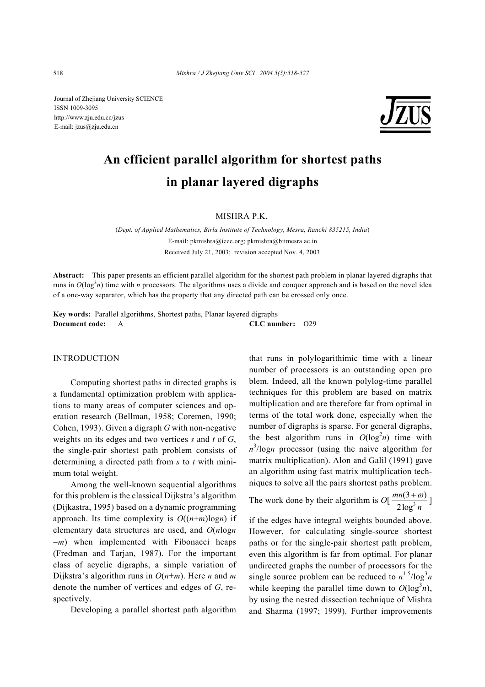Journal of Zhejiang University SCIENCE ISSN 1009-3095 http://www.zju.edu.cn/jzus E-mail: jzus@zju.edu.cn



# **An efficient parallel algorithm for shortest paths in planar layered digraphs**

MISHRA P.K.

(*Dept. of Applied Mathematics, Birla Institute of Technology, Mesra, Ranchi 835215, India*) E-mail: pkmishra@ieee.org; pkmishra@bitmesra.ac.in Received July 21, 2003; revision accepted Nov. 4, 2003

**Abstract:** This paper presents an efficient parallel algorithm for the shortest path problem in planar layered digraphs that runs in  $O(\log^3 n)$  time with *n* processors. The algorithms uses a divide and conquer approach and is based on the novel idea of a one-way separator, which has the property that any directed path can be crossed only once.

**Key words:** Parallel algorithms, Shortest paths, Planar layered digraphs **Document code:** A **CLC number:** O29

#### INTRODUCTION

Computing shortest paths in directed graphs is a fundamental optimization problem with applications to many areas of computer sciences and operation research (Bellman, 1958; Coremen, 1990; Cohen, 1993). Given a digraph *G* with non-negative weights on its edges and two vertices *s* and *t* of *G*, the single-pair shortest path problem consists of determining a directed path from *s* to *t* with minimum total weight.

Among the well-known sequential algorithms for this problem is the classical Dijkstra's algorithm (Dijkastra, 1995) based on a dynamic programming approach. Its time complexity is  $O((n+m)\log n)$  if elementary data structures are used, and *O*(*n*log*n*  −*m*) when implemented with Fibonacci heaps (Fredman and Tarjan, 1987). For the important class of acyclic digraphs, a simple variation of Dijkstra's algorithm runs in *O*(*n*+*m*). Here *n* and *m* denote the number of vertices and edges of *G*, respectively.

Developing a parallel shortest path algorithm

that runs in polylogarithimic time with a linear number of processors is an outstanding open pro blem. Indeed, all the known polylog-time parallel techniques for this problem are based on matrix multiplication and are therefore far from optimal in terms of the total work done, especially when the number of digraphs is sparse. For general digraphs, the best algorithm runs in  $O(\log^2 n)$  time with  $n^3$ /log*n* processor (using the naive algorithm for matrix multiplication). Alon and Galil (1991) gave an algorithm using fast matrix multiplication techniques to solve all the pairs shortest paths problem.

The work done by their algorithm is  $O\left(\frac{mn(3 + \omega)}{2\log^3 n}\right)$ 2log *mn n*  $\frac{+\omega}{2}$ ]

if the edges have integral weights bounded above. However, for calculating single-source shortest paths or for the single-pair shortest path problem, even this algorithm is far from optimal. For planar undirected graphs the number of processors for the single source problem can be reduced to  $n^{1.5}/\log^3 n$ while keeping the parallel time down to  $O(\log^3 n)$ , by using the nested dissection technique of Mishra and Sharma (1997; 1999). Further improvements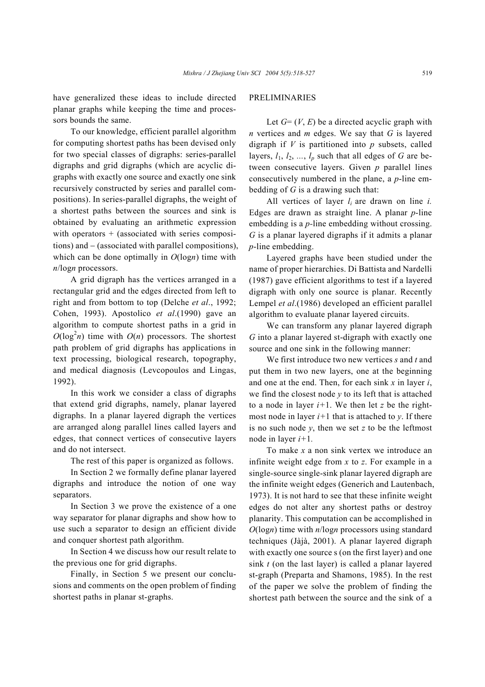have generalized these ideas to include directed planar graphs while keeping the time and processors bounds the same.

To our knowledge, efficient parallel algorithm for computing shortest paths has been devised only for two special classes of digraphs: series-parallel digraphs and grid digraphs (which are acyclic digraphs with exactly one source and exactly one sink recursively constructed by series and parallel compositions). In series-parallel digraphs, the weight of a shortest paths between the sources and sink is obtained by evaluating an arithmetic expression with operators  $+$  (associated with series compositions) and − (associated with parallel compositions), which can be done optimally in *O*(log*n*) time with *n*/log*n* processors.

A grid digraph has the vertices arranged in a rectangular grid and the edges directed from left to right and from bottom to top (Delche *et al*., 1992; Cohen, 1993). Apostolico *et al*.(1990) gave an algorithm to compute shortest paths in a grid in  $O(\log^2 n)$  time with  $O(n)$  processors. The shortest path problem of grid digraphs has applications in text processing, biological research, topography, and medical diagnosis (Levcopoulos and Lingas, 1992).

In this work we consider a class of digraphs that extend grid digraphs, namely, planar layered digraphs. In a planar layered digraph the vertices are arranged along parallel lines called layers and edges, that connect vertices of consecutive layers and do not intersect.

The rest of this paper is organized as follows.

In Section 2 we formally define planar layered digraphs and introduce the notion of one way separators.

In Section 3 we prove the existence of a one way separator for planar digraphs and show how to use such a separator to design an efficient divide and conquer shortest path algorithm.

In Section 4 we discuss how our result relate to the previous one for grid digraphs.

Finally, in Section 5 we present our conclusions and comments on the open problem of finding shortest paths in planar st-graphs.

## PRELIMINARIES

Let  $G = (V, E)$  be a directed acyclic graph with *n* vertices and *m* edges. We say that *G* is layered digraph if *V* is partitioned into *p* subsets, called layers,  $l_1$ ,  $l_2$ , ...,  $l_p$  such that all edges of *G* are between consecutive layers. Given *p* parallel lines consecutively numbered in the plane, a *p*-line embedding of *G* is a drawing such that:

All vertices of layer *li* are drawn on line *i.*  Edges are drawn as straight line. A planar *p*-line embedding is a *p-*line embedding without crossing. *G* is a planar layered digraphs if it admits a planar *p*-line embedding.

Layered graphs have been studied under the name of proper hierarchies. Di Battista and Nardelli (1987) gave efficient algorithms to test if a layered digraph with only one source is planar. Recently Lempel *et al*.(1986) developed an efficient parallel algorithm to evaluate planar layered circuits.

We can transform any planar layered digraph *G* into a planar layered st-digraph with exactly one source and one sink in the following manner:

We first introduce two new vertices *s* and *t* and put them in two new layers, one at the beginning and one at the end. Then, for each sink *x* in layer *i*, we find the closest node  $y$  to its left that is attached to a node in layer  $i+1$ . We then let  $z$  be the rightmost node in layer  $i+1$  that is attached to *y*. If there is no such node  $y$ , then we set  $z$  to be the leftmost node in layer *i+*1*.*

To make *x* a non sink vertex we introduce an infinite weight edge from *x* to *z*. For example in a single-source single-sink planar layered digraph are the infinite weight edges (Generich and Lautenbach, 1973). It is not hard to see that these infinite weight edges do not alter any shortest paths or destroy planarity. This computation can be accomplished in *O*(log*n*) time with *n*/log*n* processors using standard techniques (Jàjà, 2001). A planar layered digraph with exactly one source s (on the first layer) and one sink *t* (on the last layer) is called a planar layered st-graph (Preparta and Shamons, 1985). In the rest of the paper we solve the problem of finding the shortest path between the source and the sink of a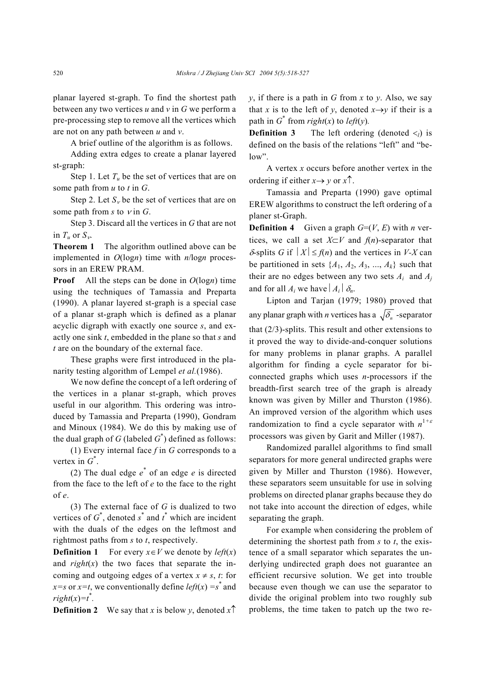planar layered st-graph. To find the shortest path between any two vertices *u* and *v* in *G* we perform a pre-processing step to remove all the vertices which are not on any path between *u* and *v*.

A brief outline of the algorithm is as follows.

Adding extra edges to create a planar layered st-graph:

Step 1. Let  $T_u$  be the set of vertices that are on some path from *u* to *t* in *G*.

Step 2. Let  $S_v$  be the set of vertices that are on some path from  $s$  to  $v$  in  $G$ .

Step 3. Discard all the vertices in *G* that are not in  $T_u$  or  $S_v$ .

**Theorem 1** The algorithm outlined above can be implemented in *O*(log*n*) time with *n*/log*n* processors in an EREW PRAM.

**Proof** All the steps can be done in *O*(log*n*) time using the techniques of Tamassia and Preparta (1990). A planar layered st-graph is a special case of a planar st-graph which is defined as a planar acyclic digraph with exactly one source *s*, and exactly one sink *t*, embedded in the plane so that *s* and *t* are on the boundary of the external face.

These graphs were first introduced in the planarity testing algorithm of Lempel *et al.*(1986).

We now define the concept of a left ordering of the vertices in a planar st-graph, which proves useful in our algorithm. This ordering was introduced by Tamassia and Preparta (1990), Gondram and Minoux (1984). We do this by making use of the dual graph of  $G$  (labeled  $G^*$ ) defined as follows:

(1) Every internal face *f* in *G* corresponds to a vertex in  $G^*$ .

(2) The dual edge  $e^*$  of an edge  $e$  is directed from the face to the left of *e* to the face to the right of *e*.

(3) The external face of *G* is dualized to two vertices of  $G^*$ , denoted  $s^*$  and  $t^*$  which are incident with the duals of the edges on the leftmost and rightmost paths from *s* to *t*, respectively.

**Definition 1** For every  $x \in V$  we denote by *left*(*x*) and  $right(x)$  the two faces that separate the incoming and outgoing edges of a vertex  $x \neq s$ , *t*: for *x*=*s* or *x*=*t*, we conventionally define *left*(*x*) = *s*<sup>\*</sup> and  $right(x)=t^*$ .

**Definition 2** We say that *x* is below *y*, denoted  $x \uparrow$ 

 $y$ , if there is a path in *G* from *x* to *y*. Also, we say that *x* is to the left of *y*, denoted  $x \rightarrow y$  if their is a path in  $G^*$  from *right*(*x*) to *left*(*y*).

**Definition 3** The left ordering (denoted  $\lt_l$ ) is defined on the basis of the relations "left" and "below".

A vertex *x* occurs before another vertex in the ordering if either  $x \rightarrow y$  or  $x \uparrow$ .

Tamassia and Preparta (1990) gave optimal EREW algorithms to construct the left ordering of a planer st-Graph.

**Definition 4** Given a graph  $G=(V, E)$  with *n* vertices, we call a set  $X \subset V$  and  $f(n)$ -separator that  $\delta$ -splits *G* if  $|X| \leq f(n)$  and the vertices in *V-X* can be partitioned in sets  $\{A_1, A_2, A_3, ..., A_k\}$  such that their are no edges between any two sets  $A_i$  and  $A_j$ and for all  $A_i$  we have  $|A_i| \delta_n$ .

Lipton and Tarjan (1979; 1980) proved that any planar graph with *n* vertices has a  $\sqrt{\delta_n}$  -separator that (2/3)-splits. This result and other extensions to it proved the way to divide-and-conquer solutions for many problems in planar graphs. A parallel algorithm for finding a cycle separator for biconnected graphs which uses *n*-processors if the breadth-first search tree of the graph is already known was given by Miller and Thurston (1986). An improved version of the algorithm which uses randomization to find a cycle separator with *n* 1*+*<sup>ε</sup> processors was given by Garit and Miller (1987).

Randomized parallel algorithms to find small separators for more general undirected graphs were given by Miller and Thurston (1986). However, these separators seem unsuitable for use in solving problems on directed planar graphs because they do not take into account the direction of edges, while separating the graph.

For example when considering the problem of determining the shortest path from *s* to *t*, the existence of a small separator which separates the underlying undirected graph does not guarantee an efficient recursive solution. We get into trouble because even though we can use the separator to divide the original problem into two roughly sub problems, the time taken to patch up the two re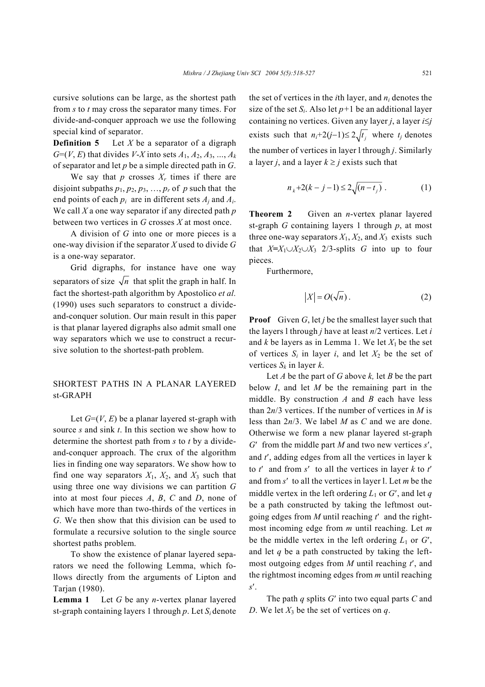cursive solutions can be large, as the shortest path from *s* to *t* may cross the separator many times. For divide-and-conquer approach we use the following special kind of separator.

**Definition 5** Let *X* be a separator of a digraph *G*=(*V*, *E*) that divides *V*-*X* into sets  $A_1, A_2, A_3, ..., A_k$ of separator and let *p* be a simple directed path in *G*.

We say that  $p$  crosses  $X_r$  times if there are disjoint subpaths  $p_1$ ,  $p_2$ ,  $p_3$ , ...,  $p_r$  of p such that the end points of each  $p_i$  are in different sets  $A_i$  and  $A_i$ . We call *X* a one way separator if any directed path *p* between two vertices in *G* crosses *X* at most once.

A division of *G* into one or more pieces is a one-way division if the separator *X* used to divide *G* is a one-way separator.

Grid digraphs, for instance have one way separators of size  $\sqrt{n}$  that split the graph in half. In fact the shortest-path algorithm by Apostolico *et al.* (1990) uses such separators to construct a divideand-conquer solution. Our main result in this paper is that planar layered digraphs also admit small one way separators which we use to construct a recursive solution to the shortest-path problem.

# SHORTEST PATHS IN A PLANAR LAYERED st-GRAPH

Let  $G=(V, E)$  be a planar layered st-graph with source *s* and sink *t*. In this section we show how to determine the shortest path from *s* to *t* by a divideand-conquer approach. The crux of the algorithm lies in finding one way separators. We show how to find one way separators  $X_1$ ,  $X_2$ , and  $X_3$  such that using three one way divisions we can partition *G* into at most four pieces *A*, *B*, *C* and *D*, none of which have more than two-thirds of the vertices in *G*. We then show that this division can be used to formulate a recursive solution to the single source shortest paths problem.

To show the existence of planar layered separators we need the following Lemma, which follows directly from the arguments of Lipton and Tarjan (1980).

**Lemma 1** Let *G* be any *n*-vertex planar layered st-graph containing layers 1 through *p*. Let *Si* denote

the set of vertices in the *i*th layer, and *ni* denotes the size of the set  $S_i$ . Also let  $p+1$  be an additional layer containing no vertices. Given any layer *j*, a layer *i*≤*j* exists such that  $n_i+2(j-1)\leq 2\sqrt{t_i}$  where  $t_i$  denotes the number of vertices in layer l through *j*. Similarly a layer *j*, and a layer  $k \geq j$  exists such that

$$
n_k + 2(k - j - 1) \le 2\sqrt{(n - t_j)} . \tag{1}
$$

**Theorem 2** Given an *n*-vertex planar layered st-graph *G* containing layers 1 through *p*, at most three one-way separators  $X_1, X_2$ , and  $X_3$  exists such that  $X=X_1\cup X_2\cup X_3$  2/3-splits *G* into up to four pieces.

Furthermore,

$$
|X| = O(\sqrt{n}).\tag{2}
$$

**Proof** Given  $G$ , let *j* be the smallest layer such that the layers l through *j* have at least *n*/2 vertices. Let *i* and  $k$  be layers as in Lemma 1. We let  $X_1$  be the set of vertices  $S_i$  in layer *i*, and let  $X_2$  be the set of vertices  $S_k$  in layer  $k$ .

Let *A* be the part of *G* above *k,* let *B* be the part below *I*, and let *M* be the remaining part in the middle. By construction *A* and *B* each have less than 2*n*/3 vertices. If the number of vertices in *M* is less than 2*n*/3. We label *M* as *C* and we are done. Otherwise we form a new planar layered st-graph *G*′ from the middle part *M* and two new vertices *s*′, and *t*′, adding edges from all the vertices in layer k to *t*′ and from *s*′ to all the vertices in layer *k* to *t*′ and from *s*′ to all the vertices in layer l. Let *m* be the middle vertex in the left ordering  $L_1$  or  $G'$ , and let  $q$ be a path constructed by taking the leftmost outgoing edges from *M* until reaching *t*′ and the rightmost incoming edge from *m* until reaching. Let *m* be the middle vertex in the left ordering  $L_1$  or  $G'$ , and let *q* be a path constructed by taking the leftmost outgoing edges from *M* until reaching *t*′, and the rightmost incoming edges from *m* until reaching *s*′.

The path *q* splits *G*′ into two equal parts *C* and *D*. We let  $X_3$  be the set of vertices on *q*.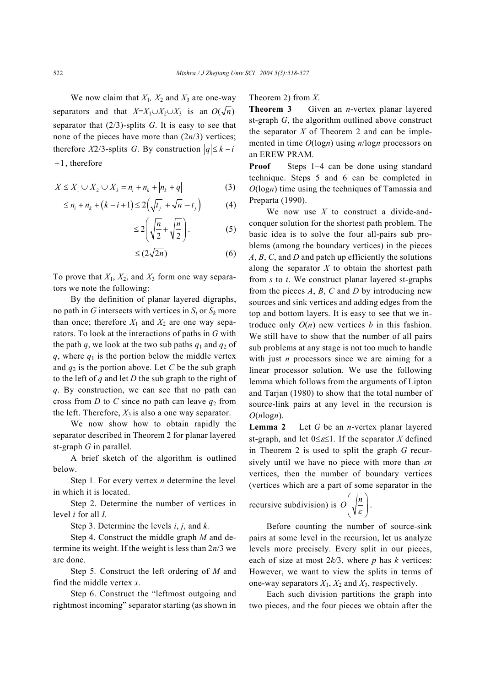We now claim that  $X_1$ ,  $X_2$  and  $X_3$  are one-way separators and that  $X=X_1\cup X_2\cup X_3$  is an  $O(\sqrt{n})$ separator that (2/3)-splits *G*. It is easy to see that none of the pieces have more than (2*n*/3) vertices; therefore *X*2/3-splits *G*. By construction  $|q| \leq k - i$  $+1$ , therefore

$$
X \le X_1 \cup X_2 \cup X_3 = n_i + n_k + |n_k + q| \tag{3}
$$

$$
\leq n_{i} + n_{k} + (k - i + 1) \leq 2(\sqrt{t_{j}} + \sqrt{n} - t_{j})
$$
 (4)

$$
\leq 2\left(\sqrt{\frac{n}{2}}+\sqrt{\frac{n}{2}}\right). \tag{5}
$$

$$
\leq (2\sqrt{2n})\tag{6}
$$

To prove that *X*1, *X*2, and *X*3 form one way separators we note the following:

By the definition of planar layered digraphs, no path in *G* intersects with vertices in  $S_i$  or  $S_k$  more than once; therefore  $X_1$  and  $X_2$  are one way separators. To look at the interactions of paths in *G* with the path *q*, we look at the two sub paths  $q_1$  and  $q_2$  of  $q$ , where  $q_1$  is the portion below the middle vertex and  $q_2$  is the portion above. Let C be the sub graph to the left of *q* and let *D* the sub graph to the right of *q*. By construction, we can see that no path can cross from *D* to *C* since no path can leave  $q_2$  from the left. Therefore,  $X_3$  is also a one way separator.

We now show how to obtain rapidly the separator described in Theorem 2 for planar layered st-graph *G* in parallel.

A brief sketch of the algorithm is outlined below.

Step 1*.* For every vertex *n* determine the level in which it is located.

Step 2. Determine the number of vertices in level *i* for all *I.*

Step 3. Determine the levels *i*, *j*, and *k.*

Step 4. Construct the middle graph *M* and determine its weight. If the weight is less than 2*n*/3 we are done.

Step 5*.* Construct the left ordering of *M* and find the middle vertex *x*.

Step 6. Construct the "leftmost outgoing and rightmost incoming" separator starting (as shown in Theorem 2) from *X*.

**Theorem 3** Given an *n*-vertex planar layered st-graph *G*, the algorithm outlined above construct the separator *X* of Theorem 2 and can be implemented in time *O*(log*n*) using *n*/log*n* processors on an EREW PRAM.

**Proof** Steps 1−4 can be done using standard technique. Steps 5 and 6 can be completed in *O*(log*n*) time using the techniques of Tamassia and Preparta (1990).

We now use *X* to construct a divide-andconquer solution for the shortest path problem. The basic idea is to solve the four all-pairs sub problems (among the boundary vertices) in the pieces *A*, *B*, *C*, and *D* and patch up efficiently the solutions along the separator *X* to obtain the shortest path from *s* to *t*. We construct planar layered st-graphs from the pieces  $A$ ,  $B$ ,  $C$  and  $D$  by introducing new sources and sink vertices and adding edges from the top and bottom layers. It is easy to see that we introduce only  $O(n)$  new vertices *b* in this fashion. We still have to show that the number of all pairs sub problems at any stage is not too much to handle with just *n* processors since we are aiming for a linear processor solution. We use the following lemma which follows from the arguments of Lipton and Tarjan (1980) to show that the total number of source-link pairs at any level in the recursion is  $O(n \log n)$ .

**Lemma 2** Let *G* be an *n*-vertex planar layered st-graph, and let 0≤ε≤1*.* If the separator *X* defined in Theorem 2 is used to split the graph *G* recursively until we have no piece with more than ε*n* vertices, then the number of boundary vertices (vertices which are a part of some separator in the

recursive subdivision) is  $O\left(\sqrt{\frac{n}{\varepsilon}}\right)$ 

Before counting the number of source-sink pairs at some level in the recursion, let us analyze levels more precisely. Every split in our pieces, each of size at most 
$$
2k/3
$$
, where *p* has *k* vertices: However, we want to view the splits in terms of one-way separators  $X_1$ ,  $X_2$  and  $X_3$ , respectively.

.

Each such division partitions the graph into two pieces, and the four pieces we obtain after the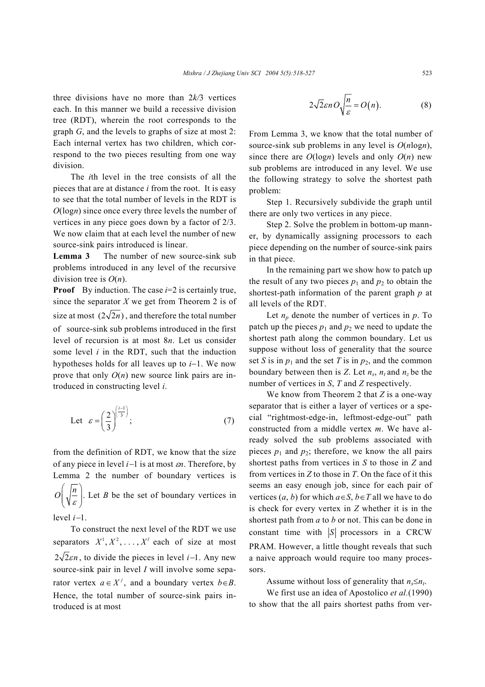three divisions have no more than 2*k/*3 vertices each. In this manner we build a recessive division tree (RDT), wherein the root corresponds to the graph *G*, and the levels to graphs of size at most 2: Each internal vertex has two children, which correspond to the two pieces resulting from one way division.

The *i*th level in the tree consists of all the pieces that are at distance *i* from the root. It is easy to see that the total number of levels in the RDT is *O*(log*n*) since once every three levels the number of vertices in any piece goes down by a factor of 2/3. We now claim that at each level the number of new source-sink pairs introduced is linear.

**Lemma 3** The number of new source-sink sub problems introduced in any level of the recursive division tree is *O*(*n*).

**Proof** By induction. The case *i*=2 is certainly true, since the separator *X* we get from Theorem 2 is of size at most  $(2\sqrt{2n})$ , and therefore the total number of source-sink sub problems introduced in the first level of recursion is at most 8*n*. Let us consider some level *i* in the RDT, such that the induction hypotheses holds for all leaves up to *i*−1. We now prove that only *O*(*n*) new source link pairs are introduced in constructing level *i*.

Let 
$$
\varepsilon = \left(\frac{2}{3}\right)^{\left(\frac{i-1}{3}\right)}
$$
;\t\t(7)

from the definition of RDT, we know that the size of any piece in level *i*−1 is at most ε*n*. Therefore, by Lemma 2 the number of boundary vertices is  $O\left(\sqrt{\frac{n}{\varepsilon}}\right)$ . Let *B* be the set of boundary vertices in level *i*−1.

To construct the next level of the RDT we use separators  $X^1, X^2, \ldots, X^l$  each of size at most  $2\sqrt{2\epsilon}n$ , to divide the pieces in level *i*−1. Any new source-sink pair in level *I* will involve some separator vertex  $a \in X^j$ , and a boundary vertex  $b \in B$ . Hence, the total number of source-sink pairs introduced is at most

$$
2\sqrt{2}\varepsilon n O\sqrt{\frac{n}{\varepsilon}} = O(n). \tag{8}
$$

From Lemma 3, we know that the total number of source-sink sub problems in any level is *O*(*n*log*n*), since there are  $O(logn)$  levels and only  $O(n)$  new sub problems are introduced in any level. We use the following strategy to solve the shortest path problem:

Step 1. Recursively subdivide the graph until there are only two vertices in any piece.

Step 2. Solve the problem in bottom-up manner, by dynamically assigning processors to each piece depending on the number of source-sink pairs in that piece.

In the remaining part we show how to patch up the result of any two pieces  $p_1$  and  $p_2$  to obtain the shortest-path information of the parent graph *p* at all levels of the RDT.

Let  $n_p$  denote the number of vertices in  $p$ . To patch up the pieces  $p_1$  and  $p_2$  we need to update the shortest path along the common boundary. Let us suppose without loss of generality that the source set *S* is in  $p_1$  and the set *T* is in  $p_2$ , and the common boundary between then is *Z*. Let  $n_s$ ,  $n_t$  and  $n_z$  be the number of vertices in *S*, *T* and *Z* respectively.

We know from Theorem 2 that *Z* is a one-way separator that is either a layer of vertices or a special "rightmost-edge-in, leftmost-edge-out" path constructed from a middle vertex *m*. We have already solved the sub problems associated with pieces  $p_1$  and  $p_2$ ; therefore, we know the all pairs shortest paths from vertices in *S* to those in *Z* and from vertices in *Z* to those in *T*. On the face of it this seems an easy enough job, since for each pair of vertices  $(a, b)$  for which  $a \in S$ ,  $b \in T$  all we have to do is check for every vertex in *Z* whether it is in the shortest path from *a* to *b* or not. This can be done in constant time with  $|S|$  processors in a CRCW PRAM. However, a little thought reveals that such a naive approach would require too many processors.

Assume without loss of generality that  $n_s \leq n_t$ .

We first use an idea of Apostolico *et al.*(1990) to show that the all pairs shortest paths from ver-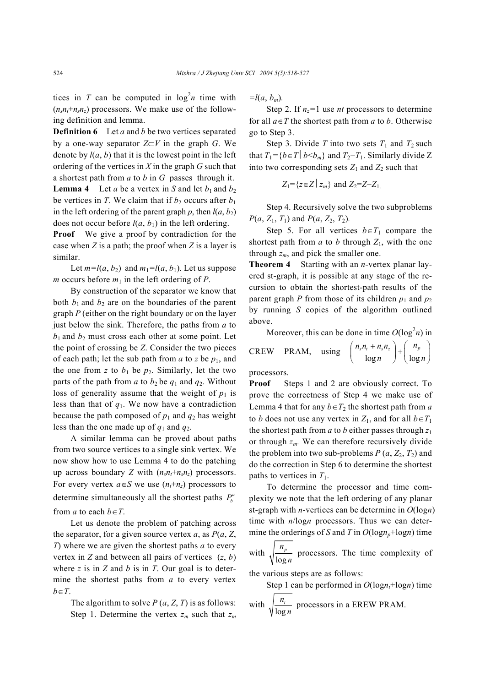tices in *T* can be computed in  $log<sup>2</sup>n$  time with  $(n_s n_t + n_s n_z)$  processors. We make use of the following definition and lemma.

**Definition 6** Let *a* and *b* be two vertices separated by a one-way separator *Z*⊂*V* in the graph *G*. We denote by  $l(a, b)$  that it is the lowest point in the left ordering of the vertices in *X* in the graph *G* such that a shortest path from *a* to *b* in *G* passes through it. **Lemma 4** Let *a* be a vertex in *S* and let  $b_1$  and  $b_2$ be vertices in *T*. We claim that if  $b_2$  occurs after  $b_1$ in the left ordering of the parent graph  $p$ , then  $l(a, b_2)$ does not occur before  $l(a, b_1)$  in the left ordering.

**Proof** We give a proof by contradiction for the case when *Z* is a path; the proof when *Z* is a layer is similar.

Let  $m=l(a, b_2)$  and  $m_1=l(a, b_1)$ . Let us suppose *m* occurs before  $m_1$  in the left ordering of *P*.

By construction of the separator we know that both  $b_1$  and  $b_2$  are on the boundaries of the parent graph *P* (either on the right boundary or on the layer just below the sink. Therefore, the paths from *a* to  $b_1$  and  $b_2$  must cross each other at some point. Let the point of crossing be *Z*. Consider the two pieces of each path; let the sub path from  $a$  to  $z$  be  $p_1$ , and the one from z to  $b_1$  be  $p_2$ . Similarly, let the two parts of the path from *a* to  $b_2$  be  $q_1$  and  $q_2$ . Without loss of generality assume that the weight of  $p_1$  is less than that of *q*1. We now have a contradiction because the path composed of  $p_1$  and  $q_2$  has weight less than the one made up of  $q_1$  and  $q_2$ .

A similar lemma can be proved about paths from two source vertices to a single sink vertex. We now show how to use Lemma 4 to do the patching up across boundary *Z* with  $(n_s n_t + n_s n_z)$  processors. For every vertex  $a \in S$  we use  $(n_t+n_z)$  processors to determine simultaneously all the shortest paths  $P_h^a$ from *a* to each  $b \in T$ .

Let us denote the problem of patching across the separator, for a given source vertex *a*, as *P*(*a*, *Z*, *T*) where we are given the shortest paths *a* to every vertex in *Z* and between all pairs of vertices (*z*, *b*) where *z* is in *Z* and *b* is in *T*. Our goal is to determine the shortest paths from *a* to every vertex *b*∈*T*.

The algorithm to solve  $P(a, Z, T)$  is as follows: Step 1. Determine the vertex  $z_m$  such that  $z_m$   $=$ *l*(*a*, *b<sub>m</sub>*).

Step 2. If  $n_z=1$  use *nt* processors to determine for all  $a \in T$  the shortest path from *a* to *b*. Otherwise go to Step 3.

Step 3. Divide *T* into two sets  $T_1$  and  $T_2$  such that  $T_1 = \{b \in T \mid b \leq b_m\}$  and  $T_2 - T_1$ . Similarly divide Z into two corresponding sets  $Z_1$  and  $Z_2$  such that

$$
Z_1 = \{ z \in Z \mid z_m \}
$$
 and  $Z_2 = Z - Z_1$ .

Step 4. Recursively solve the two subproblems *P*( $a$ ,  $Z_1$ ,  $T_1$ ) and  $P(a, Z_2, T_2)$ .

Step 5. For all vertices  $b \in T_1$  compare the shortest path from  $a$  to  $b$  through  $Z_1$ , with the one through  $z_m$ , and pick the smaller one.

**Theorem 4** Starting with an *n*-vertex planar layered st-graph, it is possible at any stage of the recursion to obtain the shortest-path results of the parent graph *P* from those of its children  $p_1$  and  $p_2$ by running *S* copies of the algorithm outlined above.

Moreover, this can be done in time  $O(\log^2 n)$  in

$$
CREW \text{ PRAM, using } \left(\frac{n_s n_t + n_s n_z}{\log n}\right) + \left(\frac{n_p}{\log n}\right)^2
$$

$$
\left(\frac{n_s n_t + n_s n_z}{\log n}\right) + \left(\frac{n_p}{\log n}\right)
$$

processors.

**Proof** Steps 1 and 2 are obviously correct. To prove the correctness of Step 4 we make use of Lemma 4 that for any  $b \in T_2$  the shortest path from *a* to *b* does not use any vertex in  $Z_1$ , and for all  $b \in T_1$ the shortest path from *a* to *b* either passes through *z*<sup>1</sup> or through  $z_m$ . We can therefore recursively divide the problem into two sub-problems  $P(a, Z_2, T_2)$  and do the correction in Step 6 to determine the shortest paths to vertices in  $T_1$ .

To determine the processor and time complexity we note that the left ordering of any planar st-graph with *n*-vertices can be determine in *O*(log*n*) time with *n*/log*n* processors. Thus we can determine the orderings of *S* and *T* in  $O(log n_p + log n)$  time

with 
$$
\sqrt{\frac{n_p}{\log n}}
$$
 processors. The time complexity of

the various steps are as follows:

Step 1 can be performed in  $O(log n_t + log n)$  time with log *t n n* processors in a EREW PRAM.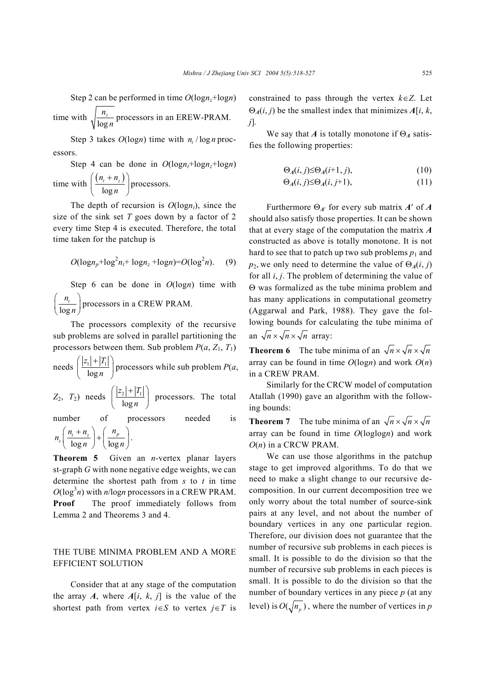Step 2 can be performed in time  $O(log n_z + log n)$ *z n*

time with log *n* processors in an EREW-PRAM.

Step 3 takes  $O(log n)$  time with  $n / log n$  processors.

Step 4 can be done in  $O(logn_t + log n_z + log n)$ time with  $\left( \frac{(n_t + n_z)}{1} \right)$ log  $n_{t} + n_{z}$  $\left(\frac{(n_t+n_z)}{\log n}\right)$  $\left( \begin{array}{cc} \log n \end{array} \right)$ processors.

The depth of recursion is  $O(log n_t)$ , since the size of the sink set *T* goes down by a factor of 2 every time Step 4 is executed. Therefore, the total time taken for the patchup is

$$
O(\log n_p + \log^2 n_t + \log n_z + \log n) = O(\log^2 n). \quad (9)
$$

Step 6 can be done in *O*(log*n*) time with log *t n*  $\left(\frac{n_i}{\log n}\right)$  processors in a CREW PRAM.

The processors complexity of the recursive sub problems are solved in parallel partitioning the processors between them. Sub problem  $P(a, Z_1, T_1)$ 

needs 
$$
\left( \frac{|z_1| + |T_1|}{\log n} \right)
$$
 processors while sub problem  $P(a, \frac{1}{n})$ 

 $Z_2$ ,  $T_2$ ) needs  $\left\lfloor \frac{|2_2|+|T_1|}{\log n} \right\rfloor$  $z_2$  +  $T$  $\left(\frac{|z_2|+|T_1|}{\log n}\right)$  processors. The total

number of processors needed is  $\log n$  |  $\log$  $\frac{n_t + n_z}{1}$  +  $\frac{n_p}{1}$  $n_{\rm s}\left(\frac{n_{\rm t}+n_{\rm z}}{n_{\rm t}}\right)+\left(\frac{n_{\rm t}}{n_{\rm t}}\right)$  $\left(\frac{n_{t}+n_{z}}{\log n}\right)+\left(\frac{n_{p}}{\log n}\right).$ 

**Theorem 5** Given an *n*-vertex planar layers st-graph *G* with none negative edge weights, we can determine the shortest path from *s* to *t* in time  $O(\log^3 n)$  with *n*/log*n* processors in a CREW PRAM. **Proof** The proof immediately follows from Lemma 2 and Theorems 3 and 4.

# THE TUBE MINIMA PROBLEM AND A MORE EFFICIENT SOLUTION

Consider that at any stage of the computation the array *A*, where  $A[i, k, j]$  is the value of the shortest path from vertex  $i \in S$  to vertex  $j \in T$  is

constrained to pass through the vertex *k*∈*Z*. Let  $\Theta_A(i, j)$  be the smallest index that minimizes  $A[i, k]$ , *j*]*.*

We say that *A* is totally monotone if  $\Theta_A$  satisfies the following properties:

$$
\Theta_A(i,j) \le \Theta_A(i+1,j),\tag{10}
$$

$$
\Theta_A(i,j) \leq \Theta_A(i,j+1),\tag{11}
$$

Furthermore Θ*A*′ for every sub matrix *A*′ of *A* should also satisfy those properties. It can be shown that at every stage of the computation the matrix *A* constructed as above is totally monotone. It is not hard to see that to patch up two sub problems  $p_1$  and *p*<sub>2</sub>, we only need to determine the value of  $\Theta$ <sub>*A*</sub>(*i*, *j*) for all *i*, *j*. The problem of determining the value of Θ was formalized as the tube minima problem and has many applications in computational geometry (Aggarwal and Park, 1988). They gave the following bounds for calculating the tube minima of an  $\sqrt{n} \times \sqrt{n} \times \sqrt{n}$  array:

**Theorem 6** The tube minima of an  $\sqrt{n} \times \sqrt{n} \times \sqrt{n}$ array can be found in time  $O(log n)$  and work  $O(n)$ in a CREW PRAM.

Similarly for the CRCW model of computation Atallah (1990) gave an algorithm with the following bounds:

**Theorem 7** The tube minima of an  $\sqrt{n} \times \sqrt{n} \times \sqrt{n}$ array can be found in time *O*(loglog*n*) and work *O*(*n*) in a CRCW PRAM.

We can use those algorithms in the patchup stage to get improved algorithms. To do that we need to make a slight change to our recursive decomposition. In our current decomposition tree we only worry about the total number of source-sink pairs at any level, and not about the number of boundary vertices in any one particular region. Therefore, our division does not guarantee that the number of recursive sub problems in each pieces is small. It is possible to do the division so that the number of recursive sub problems in each pieces is small. It is possible to do the division so that the number of boundary vertices in any piece *p* (at any level) is  $O(\sqrt{n_p})$ , where the number of vertices in *p*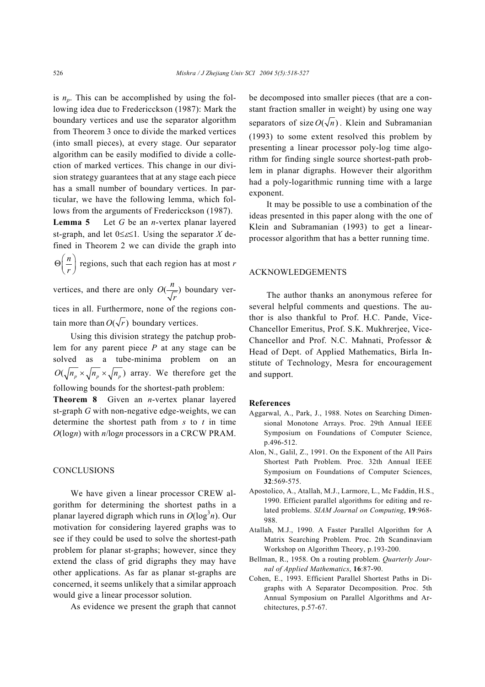is  $n_p$ . This can be accomplished by using the following idea due to Fredericckson (1987): Mark the boundary vertices and use the separator algorithm from Theorem 3 once to divide the marked vertices (into small pieces), at every stage. Our separator algorithm can be easily modified to divide a collection of marked vertices. This change in our division strategy guarantees that at any stage each piece has a small number of boundary vertices. In particular, we have the following lemma, which follows from the arguments of Fredericckson (1987).

**Lemma 5** Let *G* be an *n*-vertex planar layered st-graph, and let 0≤ε≤1*.* Using the separator *X* defined in Theorem 2 we can divide the graph into

*n*  $\Theta\left(\frac{n}{r}\right)$  regions, such that each region has at most *r* 

vertices, and there are only  $O(\frac{n}{\sqrt{n}})$ *r* boundary ver-

tices in all. Furthermore, none of the regions contain more than  $O(\sqrt{r})$  boundary vertices.

Using this division strategy the patchup problem for any parent piece *P* at any stage can be solved as a tube-minima problem on an  $O(\sqrt{n_{p}} \times \sqrt{n_{p}} \times \sqrt{n_{p}})$  array. We therefore get the following bounds for the shortest-path problem:

**Theorem 8** Given an *n*-vertex planar layered st-graph *G* with non-negative edge-weights, we can determine the shortest path from *s* to *t* in time *O*(log*n*) with *n*/log*n* processors in a CRCW PRAM.

## **CONCLUSIONS**

We have given a linear processor CREW algorithm for determining the shortest paths in a planar layered digraph which runs in  $O(\log^3 n)$ . Our motivation for considering layered graphs was to see if they could be used to solve the shortest-path problem for planar st-graphs; however, since they extend the class of grid digraphs they may have other applications. As far as planar st-graphs are concerned, it seems unlikely that a similar approach would give a linear processor solution.

As evidence we present the graph that cannot

be decomposed into smaller pieces (that are a constant fraction smaller in weight) by using one way separators of size  $O(\sqrt{n})$ . Klein and Subramanian (1993) to some extent resolved this problem by presenting a linear processor poly-log time algorithm for finding single source shortest-path problem in planar digraphs. However their algorithm had a poly-logarithmic running time with a large exponent.

It may be possible to use a combination of the ideas presented in this paper along with the one of Klein and Subramanian (1993) to get a linearprocessor algorithm that has a better running time.

### ACKNOWLEDGEMENTS

The author thanks an anonymous referee for several helpful comments and questions. The author is also thankful to Prof. H.C. Pande, Vice-Chancellor Emeritus, Prof. S.K. Mukhrerjee, Vice-Chancellor and Prof. N.C. Mahnati, Professor & Head of Dept. of Applied Mathematics, Birla Institute of Technology, Mesra for encouragement and support.

#### **References**

- Aggarwal, A., Park, J., 1988. Notes on Searching Dimensional Monotone Arrays. Proc. 29th Annual IEEE Symposium on Foundations of Computer Science, p.496-512.
- Alon, N., Galil, Z., 1991. On the Exponent of the All Pairs Shortest Path Problem. Proc. 32th Annual IEEE Symposium on Foundations of Computer Sciences, **32**:569-575.
- Apostolico, A., Atallah, M.J., Larmore, L., Mc Faddin, H.S., 1990. Efficient parallel algorithms for editing and related problems. *SIAM Journal on Computing*, **19**:968- 988.
- Atallah, M.J., 1990. A Faster Parallel Algorithm for A Matrix Searching Problem. Proc. 2th Scandinaviam Workshop on Algorithm Theory, p.193-200.
- Bellman, R., 1958. On a routing problem. *Quarterly Journal of Applied Mathematics*, **16**:87-90.
- Cohen, E., 1993. Efficient Parallel Shortest Paths in Digraphs with A Separator Decomposition. Proc. 5th Annual Symposium on Parallel Algorithms and Architectures, p.57-67.